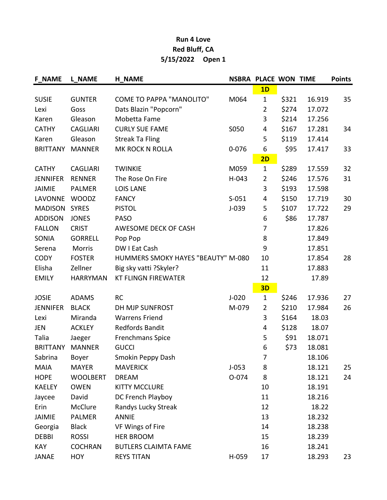## Run 4 Love Red Bluff, CA 5/15/2022 Open 1

| <b>F NAME</b>   | <b>L_NAME</b>   | <b>H NAME</b>                      | <b>NSBRA PLACE WON TIME</b> |                |       |        | <b>Points</b> |
|-----------------|-----------------|------------------------------------|-----------------------------|----------------|-------|--------|---------------|
|                 |                 |                                    |                             | 1D             |       |        |               |
| <b>SUSIE</b>    | <b>GUNTER</b>   | <b>COME TO PAPPA "MANOLITO"</b>    | M064                        | $\mathbf{1}$   | \$321 | 16.919 | 35            |
| Lexi            | Goss            | Dats Blazin "Popcorn"              |                             | 2              | \$274 | 17.072 |               |
| Karen           | Gleason         | Mobetta Fame                       |                             | 3              | \$214 | 17.256 |               |
| <b>CATHY</b>    | <b>CAGLIARI</b> | <b>CURLY SUE FAME</b>              | S050                        | 4              | \$167 | 17.281 | 34            |
| Karen           | Gleason         | <b>Streak Ta Fling</b>             |                             | 5              | \$119 | 17.414 |               |
| <b>BRITTANY</b> | <b>MANNER</b>   | MK ROCK N ROLLA                    | $0 - 076$                   | 6              | \$95  | 17.417 | 33            |
|                 |                 |                                    |                             | 2D             |       |        |               |
| <b>CATHY</b>    | <b>CAGLIARI</b> | <b>TWINKIE</b>                     | M059                        | 1              | \$289 | 17.559 | 32            |
| <b>JENNIFER</b> | <b>RENNER</b>   | The Rose On Fire                   | $H-043$                     | $\overline{2}$ | \$246 | 17.576 | 31            |
| <b>JAIMIE</b>   | <b>PALMER</b>   | <b>LOIS LANE</b>                   |                             | 3              | \$193 | 17.598 |               |
| <b>LAVONNE</b>  | <b>WOODZ</b>    | <b>FANCY</b>                       | $S-051$                     | 4              | \$150 | 17.719 | 30            |
| <b>MADISON</b>  | <b>SYRES</b>    | <b>PISTOL</b>                      | $J-039$                     | 5              | \$107 | 17.722 | 29            |
| <b>ADDISON</b>  | <b>JONES</b>    | <b>PASO</b>                        |                             | 6              | \$86  | 17.787 |               |
| <b>FALLON</b>   | <b>CRIST</b>    | AWESOME DECK OF CASH               |                             | $\overline{7}$ |       | 17.826 |               |
| SONIA           | <b>GORRELL</b>  | Pop Pop                            |                             | 8              |       | 17.849 |               |
| Serena          | <b>Morris</b>   | DW I Eat Cash                      |                             | 9              |       | 17.851 |               |
| <b>CODY</b>     | <b>FOSTER</b>   | HUMMERS SMOKY HAYES "BEAUTY" M-080 |                             | 10             |       | 17.854 | 28            |
| Elisha          | Zellner         | Big sky vatti ?Skyler?             |                             | 11             |       | 17.883 |               |
| <b>EMILY</b>    | <b>HARRYMAN</b> | <b>KT FLINGN FIREWATER</b>         |                             | 12             |       | 17.89  |               |
|                 |                 |                                    |                             | 3D             |       |        |               |
| <b>JOSIE</b>    | <b>ADAMS</b>    | <b>RC</b>                          | $J-020$                     | 1              | \$246 | 17.936 | 27            |
| <b>JENNIFER</b> | <b>BLACK</b>    | DH MJP SUNFROST                    | M-079                       | $\overline{2}$ | \$210 | 17.984 | 26            |
| Lexi            | Miranda         | <b>Warrens Friend</b>              |                             | 3              | \$164 | 18.03  |               |
| JEN             | <b>ACKLEY</b>   | <b>Redfords Bandit</b>             |                             | 4              | \$128 | 18.07  |               |
| Talia           | Jaeger          | <b>Frenchmans Spice</b>            |                             | 5              | \$91  | 18.071 |               |
| <b>BRITTANY</b> | <b>MANNER</b>   | <b>GUCCI</b>                       |                             | 6              | \$73  | 18.081 |               |
| Sabrina         | Boyer           | Smokin Peppy Dash                  |                             | $\overline{7}$ |       | 18.106 |               |
| <b>MAIA</b>     | <b>MAYER</b>    | <b>MAVERICK</b>                    | $J-053$                     | 8              |       | 18.121 | 25            |
| <b>HOPE</b>     | <b>WOOLBERT</b> | <b>DREAM</b>                       | O-074                       | 8              |       | 18.121 | 24            |
| <b>KAELEY</b>   | <b>OWEN</b>     | <b>KITTY MCCLURE</b>               |                             | 10             |       | 18.191 |               |
| Jaycee          | David           | DC French Playboy                  |                             | 11             |       | 18.216 |               |
| Erin            | McClure         | Randys Lucky Streak                |                             | 12             |       | 18.22  |               |
| <b>JAIMIE</b>   | <b>PALMER</b>   | <b>ANNIE</b>                       |                             | 13             |       | 18.232 |               |
| Georgia         | <b>Black</b>    | VF Wings of Fire                   |                             | 14             |       | 18.238 |               |
| <b>DEBBI</b>    | <b>ROSSI</b>    | <b>HER BROOM</b>                   |                             | 15             |       | 18.239 |               |
| KAY             | <b>COCHRAN</b>  | <b>BUTLERS CLAIMTA FAME</b>        |                             | 16             |       | 18.241 |               |
| <b>JANAE</b>    | <b>HOY</b>      | <b>REYS TITAN</b>                  | H-059                       | 17             |       | 18.293 | 23            |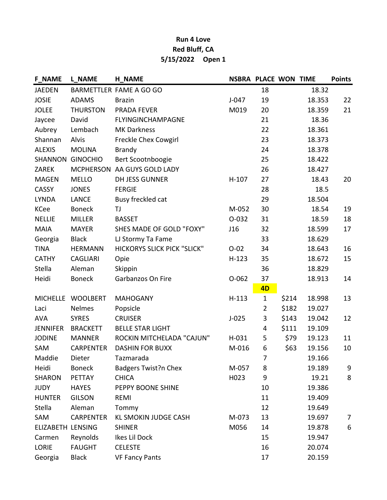## Run 4 Love Red Bluff, CA 5/15/2022 Open 1

| <b>F NAME</b>            | <b>L NAME</b>    | <b>H NAME</b>                      | <b>NSBRA PLACE WON TIME</b> |                |       |        | <b>Points</b> |
|--------------------------|------------------|------------------------------------|-----------------------------|----------------|-------|--------|---------------|
| <b>JAEDEN</b>            |                  | BARMETTLER FAME A GO GO            |                             | 18             |       | 18.32  |               |
| <b>JOSIE</b>             | <b>ADAMS</b>     | <b>Brazin</b>                      | $J-047$                     | 19             |       | 18.353 | 22            |
| <b>JOLEE</b>             | <b>THURSTON</b>  | <b>PRADA FEVER</b>                 | M019                        | 20             |       | 18.359 | 21            |
| Jaycee                   | David            | FLYINGINCHAMPAGNE                  |                             | 21             |       | 18.36  |               |
| Aubrey                   | Lembach          | <b>MK Darkness</b>                 |                             | 22             |       | 18.361 |               |
| Shannan                  | Alvis            | Freckle Chex Cowgirl               |                             | 23             |       | 18.373 |               |
| <b>ALEXIS</b>            | <b>MOLINA</b>    | <b>Brandy</b>                      |                             | 24             |       | 18.378 |               |
| SHANNON                  | <b>GINOCHIO</b>  | Bert Scootnboogie                  |                             | 25             |       | 18.422 |               |
| ZAREK                    | <b>MCPHERSON</b> | AA GUYS GOLD LADY                  |                             | 26             |       | 18.427 |               |
| <b>MAGEN</b>             | <b>MELLO</b>     | <b>DH JESS GUNNER</b>              | $H-107$                     | 27             |       | 18.43  | 20            |
| <b>CASSY</b>             | <b>JONES</b>     | <b>FERGIE</b>                      |                             | 28             |       | 18.5   |               |
| <b>LYNDA</b>             | <b>LANCE</b>     | Busy freckled cat                  |                             | 29             |       | 18.504 |               |
| <b>KCee</b>              | <b>Boneck</b>    | TJ                                 | M-052                       | 30             |       | 18.54  | 19            |
| <b>NELLIE</b>            | <b>MILLER</b>    | <b>BASSET</b>                      | $0 - 032$                   | 31             |       | 18.59  | 18            |
| <b>MAIA</b>              | <b>MAYER</b>     | SHES MADE OF GOLD "FOXY"           | J16                         | 32             |       | 18.599 | 17            |
| Georgia                  | <b>Black</b>     | LJ Stormy Ta Fame                  |                             | 33             |       | 18.629 |               |
| <b>TINA</b>              | <b>HERMANN</b>   | <b>HICKORYS SLICK PICK "SLICK"</b> | $O - 02$                    | 34             |       | 18.643 | 16            |
| <b>CATHY</b>             | <b>CAGLIARI</b>  | Opie                               | $H-123$                     | 35             |       | 18.672 | 15            |
| Stella                   | Aleman           | Skippin                            |                             | 36             |       | 18.829 |               |
| Heidi                    | <b>Boneck</b>    | Garbanzos On Fire                  | $O-062$                     | 37             |       | 18.913 | 14            |
|                          |                  |                                    |                             | 4D             |       |        |               |
| <b>MICHELLE</b>          | <b>WOOLBERT</b>  | <b>MAHOGANY</b>                    | $H-113$                     | $\mathbf 1$    | \$214 | 18.998 | 13            |
| Laci                     | Nelmes           | Popsicle                           |                             | $\overline{2}$ | \$182 | 19.027 |               |
| <b>AVA</b>               | <b>SYRES</b>     | <b>CRUISER</b>                     | $J-025$                     | 3              | \$143 | 19.042 | 12            |
| <b>JENNIFER</b>          | <b>BRACKETT</b>  | <b>BELLE STAR LIGHT</b>            |                             | 4              | \$111 | 19.109 |               |
| <b>JODINE</b>            | <b>MANNER</b>    | ROCKIN MITCHELADA "CAJUN"          | H-031                       | 5              | \$79  | 19.123 | 11            |
| SAM                      | <b>CARPENTER</b> | <b>DASHIN FOR BUXX</b>             | M-016                       | 6              | \$63  | 19.156 | 10            |
| Maddie                   | Dieter           | Tazmarada                          |                             | $\overline{7}$ |       | 19.166 |               |
| Heidi                    | <b>Boneck</b>    | <b>Badgers Twist?n Chex</b>        | M-057                       | 8              |       | 19.189 | 9             |
| <b>SHARON</b>            | PETTAY           | <b>CHICA</b>                       | H023                        | 9              |       | 19.21  | 8             |
| <b>JUDY</b>              | <b>HAYES</b>     | PEPPY BOONE SHINE                  |                             | 10             |       | 19.386 |               |
| <b>HUNTER</b>            | <b>GILSON</b>    | <b>REMI</b>                        |                             | 11             |       | 19.409 |               |
| Stella                   | Aleman           | Tommy                              |                             | 12             |       | 19.649 |               |
| SAM                      | <b>CARPENTER</b> | KL SMOKIN JUDGE CASH               | M-073                       | 13             |       | 19.697 | 7             |
| <b>ELIZABETH LENSING</b> |                  | <b>SHINER</b>                      | M056                        | 14             |       | 19.878 | 6             |
| Carmen                   | Reynolds         | Ikes Lil Dock                      |                             | 15             |       | 19.947 |               |
| <b>LORIE</b>             | <b>FAUGHT</b>    | <b>CELESTE</b>                     |                             | 16             |       | 20.074 |               |
| Georgia                  | <b>Black</b>     | <b>VF Fancy Pants</b>              |                             | 17             |       | 20.159 |               |